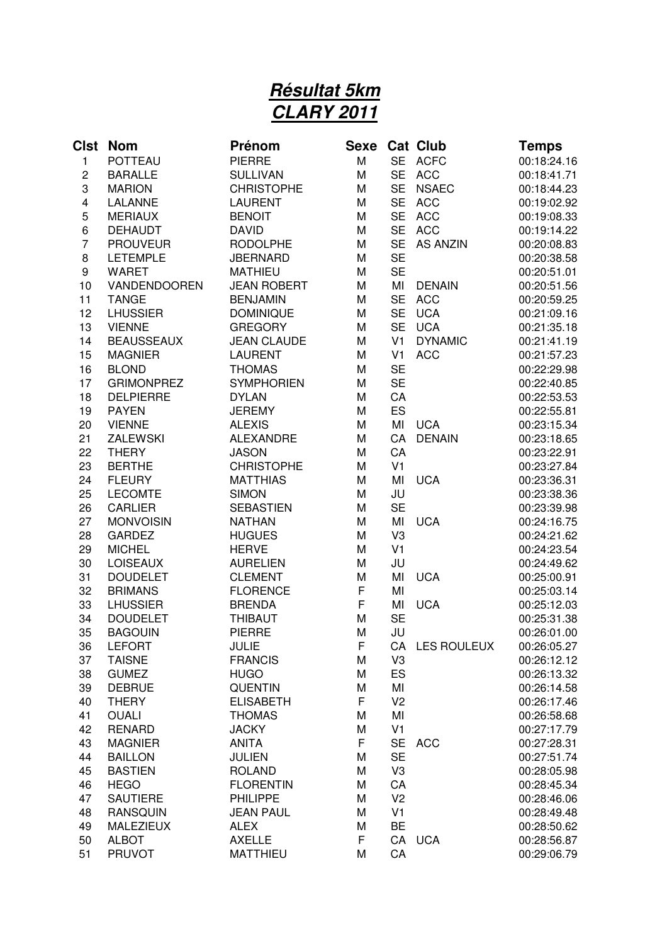## **Résultat 5km CLARY 2011**

| <b>Clst</b>    | <b>Nom</b>                          | Prénom                       | Sexe   |                             | <b>Cat Club</b>    | <b>Temps</b>               |
|----------------|-------------------------------------|------------------------------|--------|-----------------------------|--------------------|----------------------------|
| $\mathbf{1}$   | <b>POTTEAU</b>                      | <b>PIERRE</b>                | M      | <b>SE</b>                   | <b>ACFC</b>        | 00:18:24.16                |
| 2              | <b>BARALLE</b>                      | <b>SULLIVAN</b>              | M      | <b>SE</b>                   | <b>ACC</b>         | 00:18:41.71                |
| 3              | <b>MARION</b>                       | <b>CHRISTOPHE</b>            | M      | <b>SE</b>                   | <b>NSAEC</b>       | 00:18:44.23                |
| 4              | LALANNE                             | <b>LAURENT</b>               | M      | <b>SE</b>                   | <b>ACC</b>         | 00:19:02.92                |
| 5              | <b>MERIAUX</b>                      | <b>BENOIT</b>                | M      | <b>SE</b>                   | <b>ACC</b>         | 00:19:08.33                |
| 6              | <b>DEHAUDT</b>                      | <b>DAVID</b>                 | M      | <b>SE</b>                   | <b>ACC</b>         | 00:19:14.22                |
| $\overline{7}$ | <b>PROUVEUR</b>                     | <b>RODOLPHE</b>              | M      | <b>SE</b>                   | <b>AS ANZIN</b>    | 00:20:08.83                |
| 8              | <b>LETEMPLE</b>                     | <b>JBERNARD</b>              | M      | <b>SE</b>                   |                    | 00:20:38.58                |
| 9              | <b>WARET</b>                        | <b>MATHIEU</b>               | M      | <b>SE</b>                   |                    | 00:20:51.01                |
| 10             | VANDENDOOREN                        | <b>JEAN ROBERT</b>           | M      | MI                          | <b>DENAIN</b>      | 00:20:51.56                |
| 11             | <b>TANGE</b>                        | <b>BENJAMIN</b>              | M      | <b>SE</b>                   | <b>ACC</b>         | 00:20:59.25                |
| 12             | <b>LHUSSIER</b>                     | <b>DOMINIQUE</b>             | M      | <b>SE</b>                   | <b>UCA</b>         | 00:21:09.16                |
| 13             | <b>VIENNE</b>                       | <b>GREGORY</b>               | M      | <b>SE</b>                   | <b>UCA</b>         | 00:21:35.18                |
| 14             | <b>BEAUSSEAUX</b>                   | <b>JEAN CLAUDE</b>           | M      | V <sub>1</sub>              | <b>DYNAMIC</b>     | 00:21:41.19                |
| 15             | <b>MAGNIER</b>                      | <b>LAURENT</b>               | M      | V <sub>1</sub>              | <b>ACC</b>         | 00:21:57.23                |
| 16             | <b>BLOND</b>                        | <b>THOMAS</b>                | M      | <b>SE</b>                   |                    | 00:22:29.98                |
| 17             | <b>GRIMONPREZ</b>                   | <b>SYMPHORIEN</b>            | M      | <b>SE</b>                   |                    | 00:22:40.85                |
| 18             | <b>DELPIERRE</b>                    | <b>DYLAN</b>                 | M      | CA                          |                    | 00:22:53.53                |
| 19             | <b>PAYEN</b>                        | <b>JEREMY</b>                | M      | ES                          |                    | 00:22:55.81                |
| 20             | <b>VIENNE</b>                       | <b>ALEXIS</b>                | M      | MI                          | <b>UCA</b>         | 00:23:15.34                |
| 21             | <b>ZALEWSKI</b>                     | <b>ALEXANDRE</b>             | M      | CA                          | <b>DENAIN</b>      | 00:23:18.65                |
| 22             | <b>THERY</b>                        | <b>JASON</b>                 | M      | CA                          |                    | 00:23:22.91                |
| 23             | <b>BERTHE</b>                       | <b>CHRISTOPHE</b>            | M      | V <sub>1</sub>              |                    | 00:23:27.84                |
| 24             | <b>FLEURY</b>                       | <b>MATTHIAS</b>              | M      | MI                          | <b>UCA</b>         | 00:23:36.31                |
| 25             | <b>LECOMTE</b>                      | <b>SIMON</b>                 | M      | JU                          |                    | 00:23:38.36                |
| 26             | <b>CARLIER</b>                      | <b>SEBASTIEN</b>             | M      | <b>SE</b>                   |                    | 00:23:39.98                |
| 27             | <b>MONVOISIN</b>                    | <b>NATHAN</b>                | M      | MI                          | <b>UCA</b>         | 00:24:16.75                |
| 28             | <b>GARDEZ</b>                       | <b>HUGUES</b>                | M      | V3                          |                    | 00:24:21.62                |
| 29             | <b>MICHEL</b>                       | <b>HERVE</b>                 | M      | V <sub>1</sub>              |                    | 00:24:23.54                |
| 30             | <b>LOISEAUX</b>                     | <b>AURELIEN</b>              | M      | JU                          |                    | 00:24:49.62                |
| 31             | <b>DOUDELET</b>                     | <b>CLEMENT</b>               | M      | MI                          | <b>UCA</b>         | 00:25:00.91                |
| 32             | <b>BRIMANS</b>                      | <b>FLORENCE</b>              | F      | MI                          |                    | 00:25:03.14                |
| 33             | <b>LHUSSIER</b>                     | <b>BRENDA</b>                | F      | MI                          | <b>UCA</b>         | 00:25:12.03                |
| 34             | <b>DOUDELET</b>                     | THIBAUT                      | M      | <b>SE</b>                   |                    | 00:25:31.38                |
| 35             | <b>BAGOUIN</b>                      | <b>PIERRE</b>                | M      | JU                          |                    | 00:26:01.00                |
| 36             | <b>LEFORT</b>                       | <b>JULIE</b>                 | F      | CA                          | <b>LES ROULEUX</b> | 00:26:05.27                |
| 37             | <b>TAISNE</b>                       | <b>FRANCIS</b>               | М      | V <sub>3</sub>              |                    | 00:26:12.12                |
| 38             | <b>GUMEZ</b>                        | <b>HUGO</b>                  | M      | <b>ES</b>                   |                    | 00:26:13.32                |
| 39             | <b>DEBRUE</b>                       | <b>QUENTIN</b>               | Μ      | MI                          |                    | 00:26:14.58                |
| 40             | <b>THERY</b>                        | <b>ELISABETH</b>             | F      | V <sub>2</sub>              |                    | 00:26:17.46                |
| 41             | <b>OUALI</b>                        | <b>THOMAS</b>                | М      | MI                          |                    | 00:26:58.68                |
| 42             | <b>RENARD</b>                       | <b>JACKY</b>                 | M      | V <sub>1</sub>              |                    | 00:27:17.79                |
| 43             | <b>MAGNIER</b>                      | <b>ANITA</b>                 | F      | <b>SE</b>                   | <b>ACC</b>         | 00:27:28.31                |
| 44             | <b>BAILLON</b>                      | <b>JULIEN</b>                | Μ      | <b>SE</b>                   |                    | 00:27:51.74                |
| 45             | <b>BASTIEN</b>                      | <b>ROLAND</b>                | M      | V3                          |                    | 00:28:05.98                |
| 46             | <b>HEGO</b>                         | <b>FLORENTIN</b>             | M      | CA                          |                    | 00:28:45.34                |
| 47             | <b>SAUTIERE</b>                     | <b>PHILIPPE</b>              | M      | V <sub>2</sub>              |                    | 00:28:46.06                |
| 48             | <b>RANSQUIN</b><br><b>MALEZIEUX</b> | <b>JEAN PAUL</b>             | М<br>M | V <sub>1</sub><br><b>BE</b> |                    | 00:28:49.48                |
| 49<br>50       | <b>ALBOT</b>                        | <b>ALEX</b><br><b>AXELLE</b> | F      |                             | CA UCA             | 00:28:50.62                |
| 51             | <b>PRUVOT</b>                       | <b>MATTHIEU</b>              | M      | CA                          |                    | 00:28:56.87<br>00:29:06.79 |
|                |                                     |                              |        |                             |                    |                            |